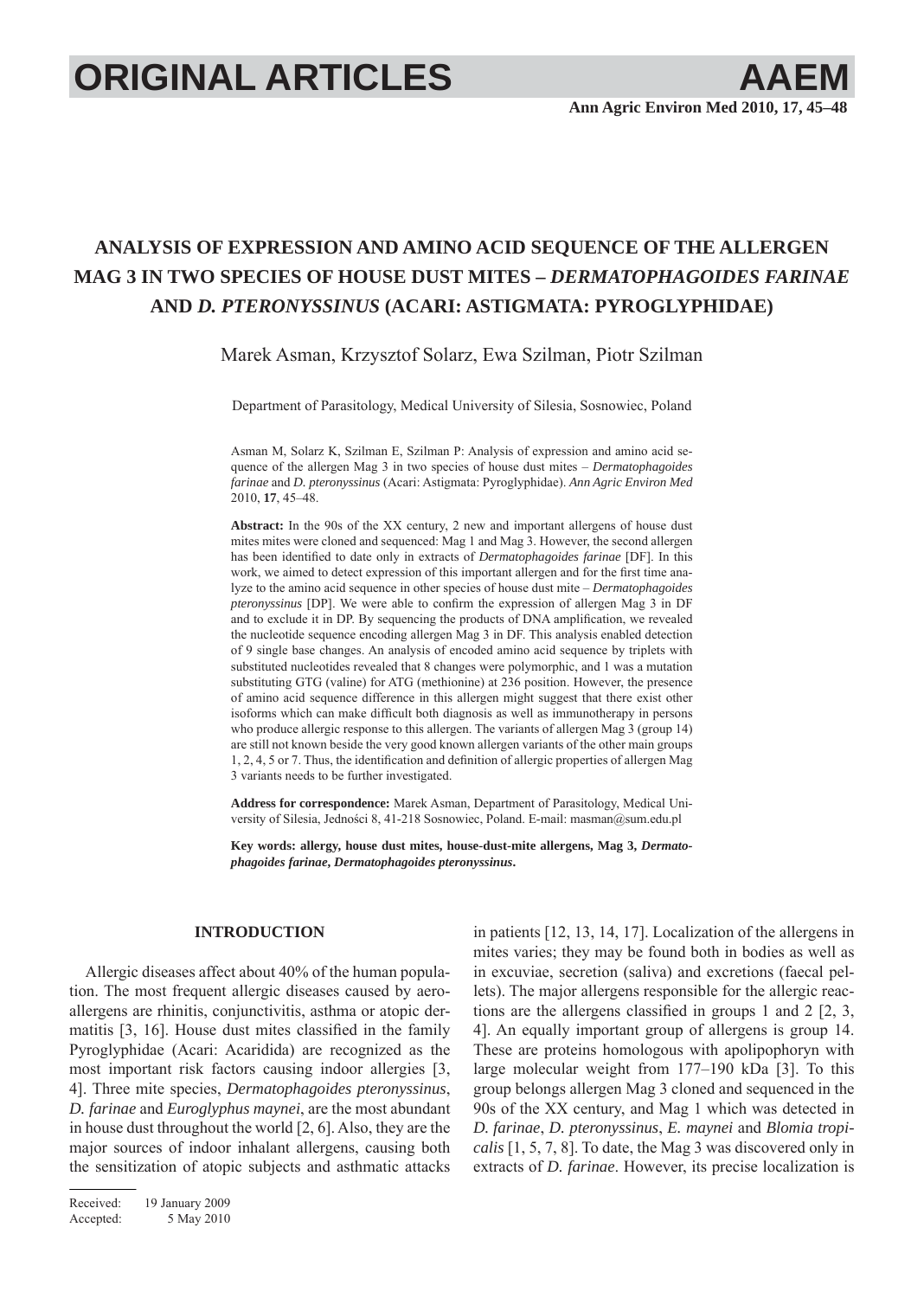# **ORIGINAL ARTICLES AAEM**

# **ANALYSIS OF EXPRESSION AND AMINO ACID SEQUENCE OF THE ALLERGEN MAG 3 IN TWO SPECIES OF HOUSE DUST MITES –** *DERMATOPHAGOIDES FARINAE* **AND** *D. PTERONYSSINUS* **(ACARI: ASTIGMATA: PYROGLYPHIDAE)**

Marek Asman, Krzysztof Solarz, Ewa Szilman, Piotr Szilman

Department of Parasitology, Medical University of Silesia, Sosnowiec, Poland

Asman M, Solarz K, Szilman E, Szilman P: Analysis of expression and amino acid sequence of the allergen Mag 3 in two species of house dust mites – *Dermatophagoides farinae* and *D. pteronyssinus* (Acari: Astigmata: Pyroglyphidae). *Ann Agric Environ Med* 2010, **17**, 45–48.

**Abstract:** In the 90s of the XX century, 2 new and important allergens of house dust mites mites were cloned and sequenced: Mag 1 and Mag 3. However, the second allergen has been identified to date only in extracts of *Dermatophagoides farinae* [DF]. In this work, we aimed to detect expression of this important allergen and for the first time analyze to the amino acid sequence in other species of house dust mite – *Dermatophagoides pteronyssinus* [DP]. We were able to confirm the expression of allergen Mag 3 in DF and to exclude it in DP. By sequencing the products of DNA amplification, we revealed the nucleotide sequence encoding allergen Mag 3 in DF. This analysis enabled detection of 9 single base changes. An analysis of encoded amino acid sequence by triplets with substituted nucleotides revealed that 8 changes were polymorphic, and 1 was a mutation substituting GTG (valine) for ATG (methionine) at 236 position. However, the presence of amino acid sequence difference in this allergen might suggest that there exist other isoforms which can make difficult both diagnosis as well as immunotherapy in persons who produce allergic response to this allergen. The variants of allergen Mag 3 (group 14) are still not known beside the very good known allergen variants of the other main groups 1, 2, 4, 5 or 7. Thus, the identification and definition of allergic properties of allergen Mag 3 variants needs to be further investigated.

**Address for correspondence:** Marek Asman, Department of Parasitology, Medical University of Silesia, Jedności 8, 41-218 Sosnowiec, Poland. E-mail: masman@sum.edu.pl

**Key words: allergy, house dust mites, house-dust-mite allergens, Mag 3,** *Dermatophagoides farinae***,** *Dermatophagoides pteronyssinus***.**

## **INTRODUCTION**

Allergic diseases affect about 40% of the human population. The most frequent allergic diseases caused by aeroallergens are rhinitis, conjunctivitis, asthma or atopic dermatitis  $[3, 16]$ . House dust mites classified in the family Pyroglyphidae (Acari: Acaridida) are recognized as the most important risk factors causing indoor allergies [3, 4]. Three mite species, *Dermatophagoides pteronyssinus*, *D. farinae* and *Euroglyphus maynei*, are the most abundant in house dust throughout the world [2, 6]. Also, they are the major sources of indoor inhalant allergens, causing both the sensitization of atopic subjects and asthmatic attacks in patients [12, 13, 14, 17]. Localization of the allergens in mites varies; they may be found both in bodies as well as in excuviae, secretion (saliva) and excretions (faecal pellets). The major allergens responsible for the allergic reactions are the allergens classified in groups 1 and  $2 \lceil 2, 3, \rceil$ 4]. An equally important group of allergens is group 14. These are proteins homologous with apolipophoryn with large molecular weight from 177–190 kDa [3]. To this group belongs allergen Mag 3 cloned and sequenced in the 90s of the XX century, and Mag 1 which was detected in *D. farinae*, *D. pteronyssinus*, *E. maynei* and *Blomia tropicalis* [1, 5, 7, 8]. To date, the Mag 3 was discovered only in extracts of *D. farinae*. However, its precise localization is

Received: 19 January 2009 Accepted: 5 May 2010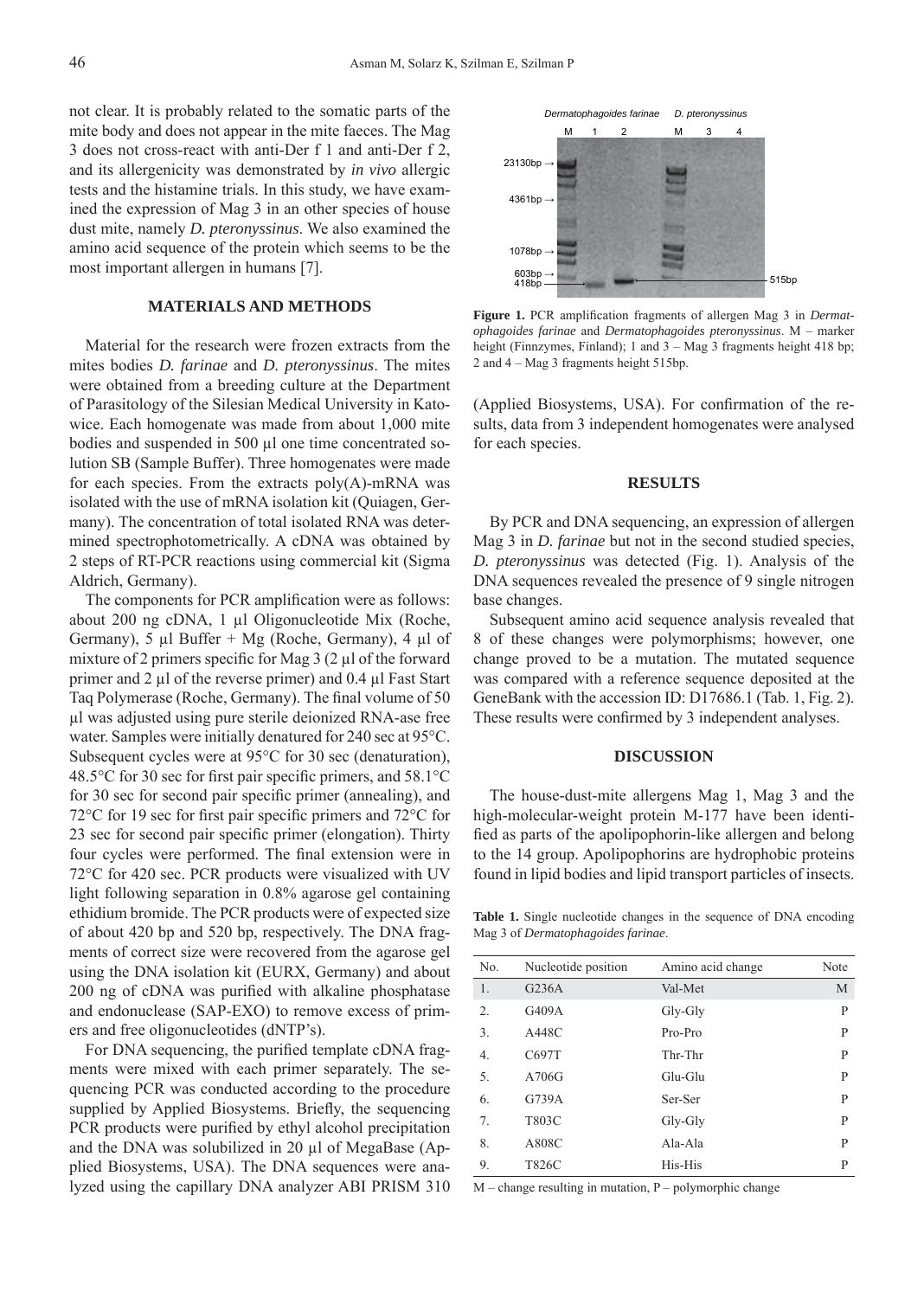not clear. It is probably related to the somatic parts of the mite body and does not appear in the mite faeces. The Mag 3 does not cross-react with anti-Der f 1 and anti-Der f 2, and its allergenicity was demonstrated by *in vivo* allergic tests and the histamine trials. In this study, we have examined the expression of Mag 3 in an other species of house dust mite, namely *D. pteronyssinus*. We also examined the amino acid sequence of the protein which seems to be the most important allergen in humans [7].

### **MATERIALS AND METHODS**

Material for the research were frozen extracts from the mites bodies *D. farinae* and *D. pteronyssinus*. The mites were obtained from a breeding culture at the Department of Parasitology of the Silesian Medical University in Katowice. Each homogenate was made from about 1,000 mite bodies and suspended in 500 μl one time concentrated solution SB (Sample Buffer). Three homogenates were made for each species. From the extracts poly(A)-mRNA was isolated with the use of mRNA isolation kit (Quiagen, Germany). The concentration of total isolated RNA was determined spectrophotometrically. A cDNA was obtained by 2 steps of RT-PCR reactions using commercial kit (Sigma Aldrich, Germany).

The components for PCR amplification were as follows: about 200 ng cDNA, 1 μl Oligonucleotide Mix (Roche, Germany), 5 μl Buffer + Mg (Roche, Germany), 4 μl of mixture of 2 primers specific for Mag  $3(2 \mu)$  of the forward primer and 2 μl of the reverse primer) and 0.4 μl Fast Start Taq Polymerase (Roche, Germany). The final volume of 50 μl was adjusted using pure sterile deionized RNA-ase free water. Samples were initially denatured for 240 sec at 95°C. Subsequent cycles were at 95°C for 30 sec (denaturation), 48.5 $\degree$ C for 30 sec for first pair specific primers, and 58.1 $\degree$ C for 30 sec for second pair specific primer (annealing), and 72 $\degree$ C for 19 sec for first pair specific primers and 72 $\degree$ C for 23 sec for second pair specific primer (elongation). Thirty four cycles were performed. The final extension were in 72°C for 420 sec. PCR products were visualized with UV light following separation in 0.8% agarose gel containing ethidium bromide. The PCR products were of expected size of about 420 bp and 520 bp, respectively. The DNA fragments of correct size were recovered from the agarose gel using the DNA isolation kit (EURX, Germany) and about 200 ng of cDNA was purified with alkaline phosphatase and endonuclease (SAP-EXO) to remove excess of primers and free oligonucleotides (dNTP's).

For DNA sequencing, the purified template cDNA fragments were mixed with each primer separately. The sequencing PCR was conducted according to the procedure supplied by Applied Biosystems. Briefly, the sequencing PCR products were purified by ethyl alcohol precipitation and the DNA was solubilized in 20 μl of MegaBase (Applied Biosystems, USA). The DNA sequences were analyzed using the capillary DNA analyzer ABI PRISM 310



Figure 1. PCR amplification fragments of allergen Mag 3 in *Dermatophagoides farinae* and *Dermatophagoides pteronyssinus*. M – marker height (Finnzymes, Finland); 1 and 3 – Mag 3 fragments height 418 bp; 2 and 4 – Mag 3 fragments height 515bp.

(Applied Biosystems, USA). For confirmation of the results, data from 3 independent homogenates were analysed for each species.

#### **RESULTS**

By PCR and DNA sequencing, an expression of allergen Mag 3 in *D. farinae* but not in the second studied species, *D. pteronyssinus* was detected (Fig. 1). Analysis of the DNA sequences revealed the presence of 9 single nitrogen base changes.

Subsequent amino acid sequence analysis revealed that 8 of these changes were polymorphisms; however, one change proved to be a mutation. The mutated sequence was compared with a reference sequence deposited at the GeneBank with the accession ID: D17686.1 (Tab. 1, Fig. 2). These results were confirmed by 3 independent analyses.

### **DISCUSSION**

The house-dust-mite allergens Mag 1, Mag 3 and the high-molecular-weight protein M-177 have been identified as parts of the apolipophorin-like allergen and belong to the 14 group. Apolipophorins are hydrophobic proteins found in lipid bodies and lipid transport particles of insects.

**Table 1.** Single nucleotide changes in the sequence of DNA encoding Mag 3 of *Dermatophagoides farinae*.

| No.            | Nucleotide position | Amino acid change | Note |
|----------------|---------------------|-------------------|------|
| 1.             | G236A               | Val-Met           | M    |
| 2              | G409A               | Gly-Gly           | P    |
| 3.             | A448C               | Pro-Pro           | P    |
| 4.             | C697T               | Thr-Thr           | P    |
| 5.             | A706G               | Glu-Glu           | P    |
| 6.             | G739A               | Ser-Ser           | P    |
| 7 <sub>1</sub> | T803C               | Gly-Gly           | P    |
| 8.             | A808C               | Ala-Ala           | P    |
| 9.             | T826C               | His-His           | P    |

 $M$  – change resulting in mutation, P – polymorphic change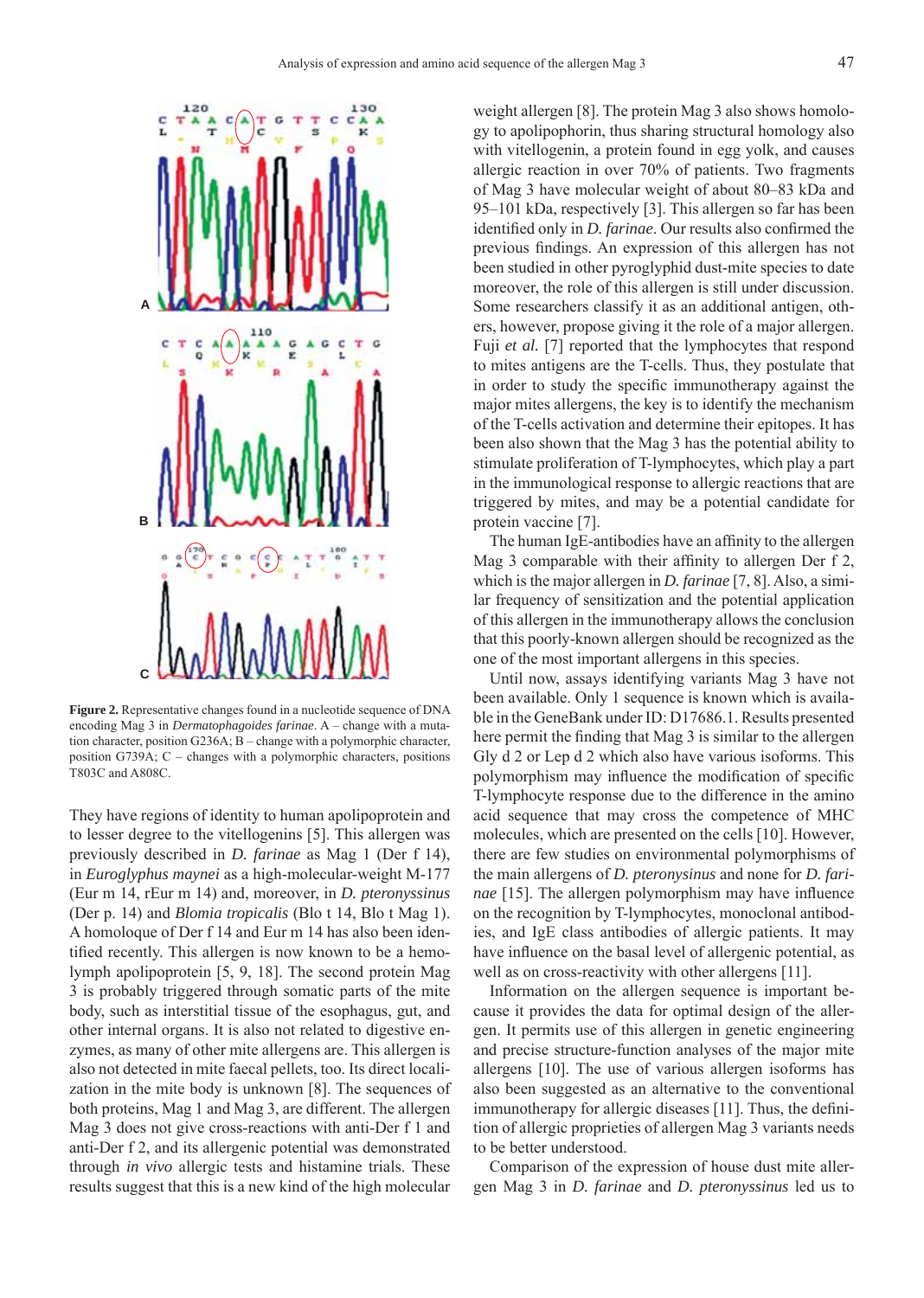

**Figure 2.** Representative changes found in a nucleotide sequence of DNA encoding Mag 3 in *Dermatophagoides farinae*. A – change with a mutation character, position G236A; B – change with a polymorphic character, position G739A; C – changes with a polymorphic characters, positions T803C and A808C.

They have regions of identity to human apolipoprotein and to lesser degree to the vitellogenins [5]. This allergen was previously described in *D. farinae* as Mag 1 (Der f 14), in *Euroglyphus maynei* as a high-molecular-weight M-177 (Eur m 14, rEur m 14) and, moreover, in *D. pteronyssinus* (Der p. 14) and *Blomia tropicalis* (Blo t 14, Blo t Mag 1). A homoloque of Der f 14 and Eur m 14 has also been identified recently. This allergen is now known to be a hemolymph apolipoprotein [5, 9, 18]. The second protein Mag 3 is probably triggered through somatic parts of the mite body, such as interstitial tissue of the esophagus, gut, and other internal organs. It is also not related to digestive enzymes, as many of other mite allergens are. This allergen is also not detected in mite faecal pellets, too. Its direct localization in the mite body is unknown [8]. The sequences of both proteins, Mag 1 and Mag 3, are different. The allergen Mag 3 does not give cross-reactions with anti-Der f 1 and anti-Der f 2, and its allergenic potential was demonstrated through *in vivo* allergic tests and histamine trials. These results suggest that this is a new kind of the high molecular weight allergen [8]. The protein Mag 3 also shows homology to apolipophorin, thus sharing structural homology also with vitellogenin, a protein found in egg yolk, and causes allergic reaction in over 70% of patients. Two fragments of Mag 3 have molecular weight of about 80–83 kDa and 95–101 kDa, respectively [3]. This allergen so far has been identified only in *D. farinae*. Our results also confirmed the previous findings. An expression of this allergen has not been studied in other pyroglyphid dust-mite species to date moreover, the role of this allergen is still under discussion. Some researchers classify it as an additional antigen, others, however, propose giving it the role of a major allergen. Fuji *et al.* [7] reported that the lymphocytes that respond to mites antigens are the T-cells. Thus, they postulate that in order to study the specific immunotherapy against the major mites allergens, the key is to identify the mechanism of the T-cells activation and determine their epitopes. It has been also shown that the Mag 3 has the potential ability to stimulate proliferation of T-lymphocytes, which play a part in the immunological response to allergic reactions that are triggered by mites, and may be a potential candidate for protein vaccine [7].

The human IgE-antibodies have an affinity to the allergen Mag 3 comparable with their affinity to allergen Der  $f$  2, which is the major allergen in *D. farinae* [7, 8]. Also, a similar frequency of sensitization and the potential application of this allergen in the immunotherapy allows the conclusion that this poorly-known allergen should be recognized as the one of the most important allergens in this species.

Until now, assays identifying variants Mag 3 have not been available. Only 1 sequence is known which is available in the GeneBank under ID: D17686.1. Results presented here permit the finding that Mag 3 is similar to the allergen Gly d 2 or Lep d 2 which also have various isoforms. This polymorphism may influence the modification of specific T-lymphocyte response due to the difference in the amino acid sequence that may cross the competence of MHC molecules, which are presented on the cells [10]. However, there are few studies on environmental polymorphisms of the main allergens of *D. pteronysinus* and none for *D. farinae* [15]. The allergen polymorphism may have influence on the recognition by T-lymphocytes, monoclonal antibodies, and IgE class antibodies of allergic patients. It may have influence on the basal level of allergenic potential, as well as on cross-reactivity with other allergens [11].

Information on the allergen sequence is important because it provides the data for optimal design of the allergen. It permits use of this allergen in genetic engineering and precise structure-function analyses of the major mite allergens [10]. The use of various allergen isoforms has also been suggested as an alternative to the conventional immunotherapy for allergic diseases [11]. Thus, the definition of allergic proprieties of allergen Mag 3 variants needs to be better understood.

Comparison of the expression of house dust mite allergen Mag 3 in *D. farinae* and *D. pteronyssinus* led us to